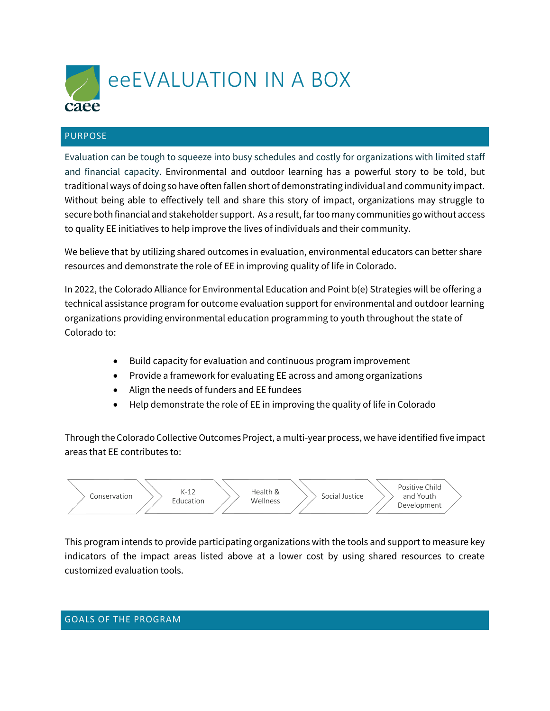

## PURPOSE

Evaluation can be tough to squeeze into busy schedules and costly for organizations with limited staff and financial capacity. Environmental and outdoor learning has a powerful story to be told, but traditional ways of doing so have often fallen short of demonstrating individual and community impact. Without being able to effectively tell and share this story of impact, organizations may struggle to secure both financial and stakeholder support. As a result, far too many communities go without access to quality EE initiatives to help improve the lives of individuals and their community.

We believe that by utilizing shared outcomes in evaluation, environmental educators can better share resources and demonstrate the role of EE in improving quality of life in Colorado.

In 2022, the Colorado Alliance for Environmental Education and Point b(e) Strategies will be offering a technical assistance program for outcome evaluation support for environmental and outdoor learning organizations providing environmental education programming to youth throughout the state of Colorado to:

- Build capacity for evaluation and continuous program improvement
- Provide a framework for evaluating EE across and among organizations
- Align the needs of funders and EE fundees
- Help demonstrate the role of EE in improving the quality of life in Colorado

Through the Colorado Collective Outcomes Project, a multi-year process, we have identified five impact areas that EE contributes to:



This program intends to provide participating organizations with the tools and support to measure key indicators of the impact areas listed above at a lower cost by using shared resources to create customized evaluation tools.

#### GOALS OF THE PROGRAM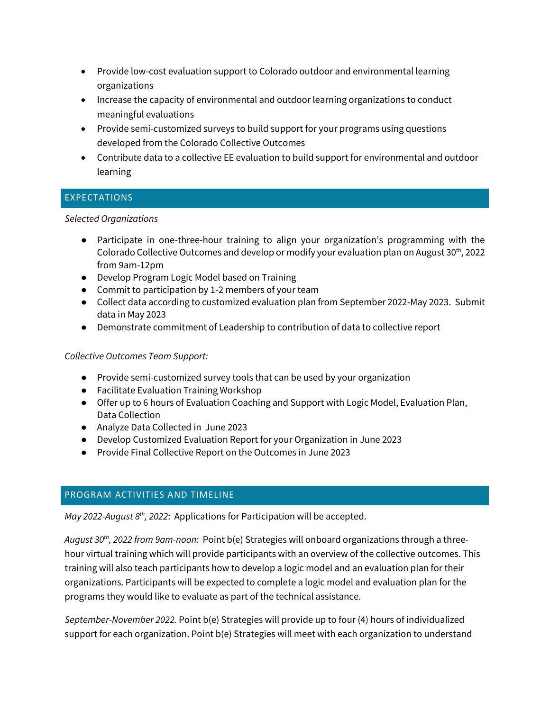- Provide low-cost evaluation support to Colorado outdoor and environmental learning organizations
- Increase the capacity of environmental and outdoor learning organizations to conduct meaningful evaluations
- Provide semi-customized surveys to build support for your programs using questions developed from the Colorado Collective Outcomes
- Contribute data to a collective EE evaluation to build support for environmental and outdoor learning

# EXPECTATIONS

### *Selected Organizations*

- Participate in one-three-hour training to align your organization's programming with the Colorado Collective Outcomes and develop or modify your evaluation plan on August  $30<sup>th</sup>$ , 2022 from 9am-12pm
- Develop Program Logic Model based on Training
- Commit to participation by 1-2 members of your team
- Collect data according to customized evaluation plan from September 2022-May 2023. Submit data in May 2023
- Demonstrate commitment of Leadership to contribution of data to collective report

## *Collective Outcomes Team Support:*

- Provide semi-customized survey tools that can be used by your organization
- Facilitate Evaluation Training Workshop
- Offer up to 6 hours of Evaluation Coaching and Support with Logic Model, Evaluation Plan, Data Collection
- Analyze Data Collected in June 2023
- Develop Customized Evaluation Report for your Organization in June 2023
- Provide Final Collective Report on the Outcomes in June 2023

## PROGRAM ACTIVITIES AND TIMELINE

*May 2022-August 8th, 2022*: Applications for Participation will be accepted.

*August 30th, 2022 from 9am-noon:* Point b(e) Strategies will onboard organizations through a threehour virtual training which will provide participants with an overview of the collective outcomes. This training will also teach participants how to develop a logic model and an evaluation plan for their organizations. Participants will be expected to complete a logic model and evaluation plan for the programs they would like to evaluate as part of the technical assistance.

*September-November 2022.* Point b(e) Strategies will provide up to four (4) hours of individualized support for each organization. Point b(e) Strategies will meet with each organization to understand